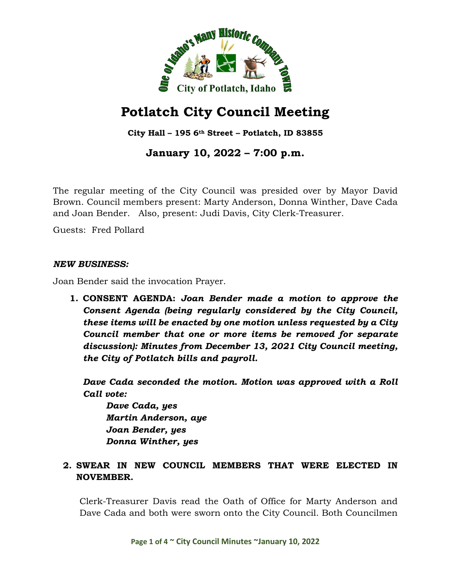

# **Potlatch City Council Meeting**

**City Hall – 195 6th Street – Potlatch, ID 83855**

# **January 10, 2022 – 7:00 p.m.**

The regular meeting of the City Council was presided over by Mayor David Brown. Council members present: Marty Anderson, Donna Winther, Dave Cada and Joan Bender. Also, present: Judi Davis, City Clerk-Treasurer.

Guests: Fred Pollard

#### *NEW BUSINESS:*

Joan Bender said the invocation Prayer.

**1. CONSENT AGENDA:** *Joan Bender made a motion to approve the Consent Agenda (being regularly considered by the City Council, these items will be enacted by one motion unless requested by a City Council member that one or more items be removed for separate discussion): Minutes from December 13, 2021 City Council meeting, the City of Potlatch bills and payroll.*

*Dave Cada seconded the motion. Motion was approved with a Roll Call vote:*

*Dave Cada, yes Martin Anderson, aye Joan Bender, yes Donna Winther, yes*

# **2. SWEAR IN NEW COUNCIL MEMBERS THAT WERE ELECTED IN NOVEMBER.**

Clerk-Treasurer Davis read the Oath of Office for Marty Anderson and Dave Cada and both were sworn onto the City Council. Both Councilmen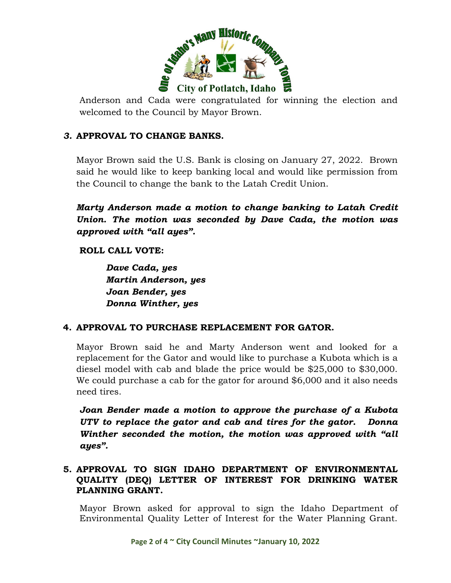

Anderson and Cada were congratulated for winning the election and welcomed to the Council by Mayor Brown.

# *3.* **APPROVAL TO CHANGE BANKS.**

Mayor Brown said the U.S. Bank is closing on January 27, 2022. Brown said he would like to keep banking local and would like permission from the Council to change the bank to the Latah Credit Union.

*Marty Anderson made a motion to change banking to Latah Credit Union. The motion was seconded by Dave Cada, the motion was approved with "all ayes".*

#### **ROLL CALL VOTE:**

*Dave Cada, yes Martin Anderson, yes Joan Bender, yes Donna Winther, yes*

#### **4. APPROVAL TO PURCHASE REPLACEMENT FOR GATOR.**

Mayor Brown said he and Marty Anderson went and looked for a replacement for the Gator and would like to purchase a Kubota which is a diesel model with cab and blade the price would be \$25,000 to \$30,000. We could purchase a cab for the gator for around \$6,000 and it also needs need tires.

*Joan Bender made a motion to approve the purchase of a Kubota UTV to replace the gator and cab and tires for the gator. Donna Winther seconded the motion, the motion was approved with "all ayes".*

#### **5. APPROVAL TO SIGN IDAHO DEPARTMENT OF ENVIRONMENTAL QUALITY (DEQ) LETTER OF INTEREST FOR DRINKING WATER PLANNING GRANT.**

Mayor Brown asked for approval to sign the Idaho Department of Environmental Quality Letter of Interest for the Water Planning Grant.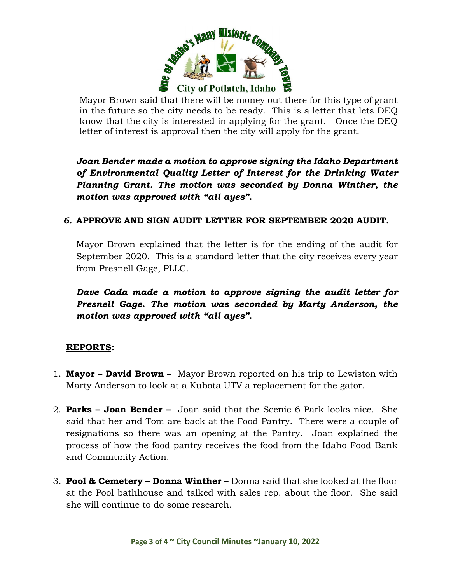

Mayor Brown said that there will be money out there for this type of grant in the future so the city needs to be ready. This is a letter that lets DEQ know that the city is interested in applying for the grant. Once the DEQ letter of interest is approval then the city will apply for the grant.

*Joan Bender made a motion to approve signing the Idaho Department of Environmental Quality Letter of Interest for the Drinking Water Planning Grant. The motion was seconded by Donna Winther, the motion was approved with "all ayes".*

# *6.* **APPROVE AND SIGN AUDIT LETTER FOR SEPTEMBER 2020 AUDIT.**

Mayor Brown explained that the letter is for the ending of the audit for September 2020. This is a standard letter that the city receives every year from Presnell Gage, PLLC.

*Dave Cada made a motion to approve signing the audit letter for Presnell Gage. The motion was seconded by Marty Anderson, the motion was approved with "all ayes".*

# **REPORTS:**

- 1. **Mayor – David Brown** Mayor Brown reported on his trip to Lewiston with Marty Anderson to look at a Kubota UTV a replacement for the gator.
- 2. **Parks – Joan Bender –** Joan said that the Scenic 6 Park looks nice. She said that her and Tom are back at the Food Pantry. There were a couple of resignations so there was an opening at the Pantry. Joan explained the process of how the food pantry receives the food from the Idaho Food Bank and Community Action.
- 3. **Pool & Cemetery – Donna Winther –** Donna said that she looked at the floor at the Pool bathhouse and talked with sales rep. about the floor. She said she will continue to do some research.